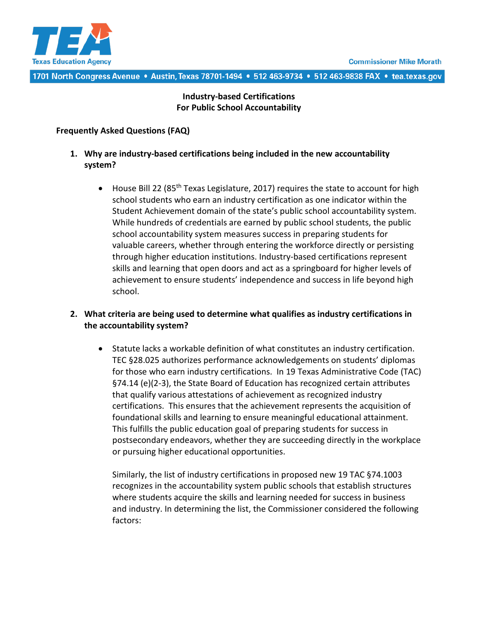

#### 1701 North Congress Avenue • Austin, Texas 78701-1494 • 512 463-9734 • 512 463-9838 FAX • tea.texas.gov

### **Industry-based Certifications For Public School Accountability**

#### **Frequently Asked Questions (FAQ)**

- **1. Why are industry-based certifications being included in the new accountability system?**
	- House Bill 22 (85<sup>th</sup> Texas Legislature, 2017) requires the state to account for high school students who earn an industry certification as one indicator within the Student Achievement domain of the state's public school accountability system. While hundreds of credentials are earned by public school students, the public school accountability system measures success in preparing students for valuable careers, whether through entering the workforce directly or persisting through higher education institutions. Industry-based certifications represent skills and learning that open doors and act as a springboard for higher levels of achievement to ensure students' independence and success in life beyond high school.

#### **2. What criteria are being used to determine what qualifies as industry certifications in the accountability system?**

• Statute lacks a workable definition of what constitutes an industry certification. TEC §28.025 authorizes performance acknowledgements on students' diplomas for those who earn industry certifications. In 19 Texas Administrative Code (TAC) §74.14 (e)(2-3), the State Board of Education has recognized certain attributes that qualify various attestations of achievement as recognized industry certifications. This ensures that the achievement represents the acquisition of foundational skills and learning to ensure meaningful educational attainment. This fulfills the public education goal of preparing students for success in postsecondary endeavors, whether they are succeeding directly in the workplace or pursuing higher educational opportunities.

Similarly, the list of industry certifications in proposed new 19 TAC §74.1003 recognizes in the accountability system public schools that establish structures where students acquire the skills and learning needed for success in business and industry. In determining the list, the Commissioner considered the following factors: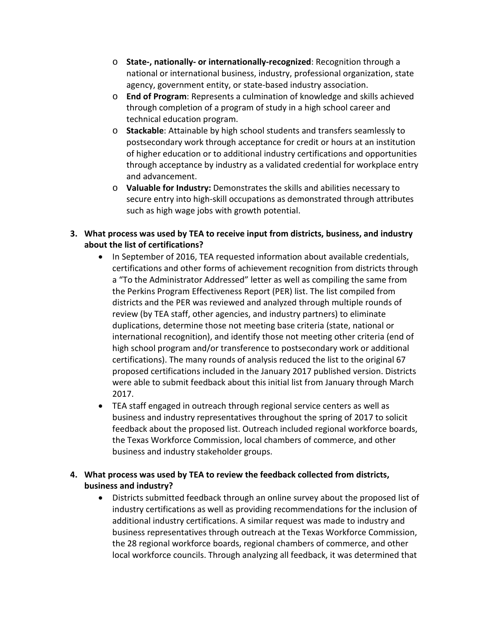- o **State-, nationally- or internationally-recognized**: Recognition through a national or international business, industry, professional organization, state agency, government entity, or state-based industry association.
- o **End of Program**: Represents a culmination of knowledge and skills achieved through completion of a program of study in a high school career and technical education program.
- o **Stackable**: Attainable by high school students and transfers seamlessly to postsecondary work through acceptance for credit or hours at an institution of higher education or to additional industry certifications and opportunities through acceptance by industry as a validated credential for workplace entry and advancement.
- o **Valuable for Industry:** Demonstrates the skills and abilities necessary to secure entry into high-skill occupations as demonstrated through attributes such as high wage jobs with growth potential.

### **3. What process was used by TEA to receive input from districts, business, and industry about the list of certifications?**

- In September of 2016, TEA requested information about available credentials, certifications and other forms of achievement recognition from districts through a "To the Administrator Addressed" letter as well as compiling the same from the Perkins Program Effectiveness Report (PER) list. The list compiled from districts and the PER was reviewed and analyzed through multiple rounds of review (by TEA staff, other agencies, and industry partners) to eliminate duplications, determine those not meeting base criteria (state, national or international recognition), and identify those not meeting other criteria (end of high school program and/or transference to postsecondary work or additional certifications). The many rounds of analysis reduced the list to the original 67 proposed certifications included in the January 2017 published version. Districts were able to submit feedback about this initial list from January through March 2017.
- TEA staff engaged in outreach through regional service centers as well as business and industry representatives throughout the spring of 2017 to solicit feedback about the proposed list. Outreach included regional workforce boards, the Texas Workforce Commission, local chambers of commerce, and other business and industry stakeholder groups.

# **4. What process was used by TEA to review the feedback collected from districts, business and industry?**

• Districts submitted feedback through an online survey about the proposed list of industry certifications as well as providing recommendations for the inclusion of additional industry certifications. A similar request was made to industry and business representatives through outreach at the Texas Workforce Commission, the 28 regional workforce boards, regional chambers of commerce, and other local workforce councils. Through analyzing all feedback, it was determined that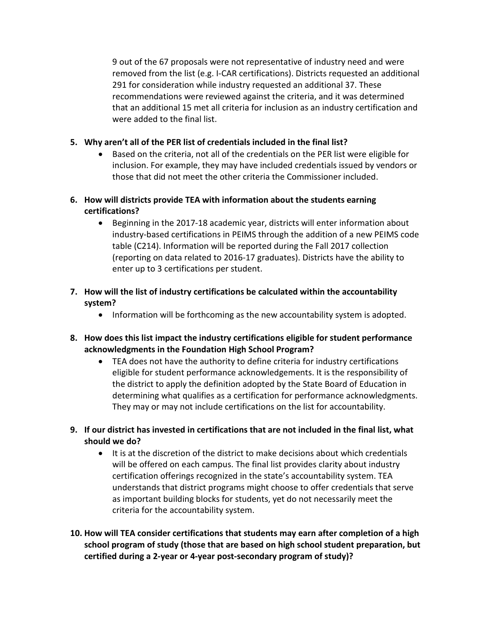9 out of the 67 proposals were not representative of industry need and were removed from the list (e.g. I-CAR certifications). Districts requested an additional 291 for consideration while industry requested an additional 37. These recommendations were reviewed against the criteria, and it was determined that an additional 15 met all criteria for inclusion as an industry certification and were added to the final list.

#### **5. Why aren't all of the PER list of credentials included in the final list?**

- Based on the criteria, not all of the credentials on the PER list were eligible for inclusion. For example, they may have included credentials issued by vendors or those that did not meet the other criteria the Commissioner included.
- **6. How will districts provide TEA with information about the students earning certifications?**
	- Beginning in the 2017-18 academic year, districts will enter information about industry-based certifications in PEIMS through the addition of a new PEIMS code table (C214). Information will be reported during the Fall 2017 collection (reporting on data related to 2016-17 graduates). Districts have the ability to enter up to 3 certifications per student.
- **7. How will the list of industry certifications be calculated within the accountability system?**
	- Information will be forthcoming as the new accountability system is adopted.
- **8. How does this list impact the industry certifications eligible for student performance acknowledgments in the Foundation High School Program?** 
	- TEA does not have the authority to define criteria for industry certifications eligible for student performance acknowledgements. It is the responsibility of the district to apply the definition adopted by the State Board of Education in determining what qualifies as a certification for performance acknowledgments. They may or may not include certifications on the list for accountability.
- **9. If our district has invested in certifications that are not included in the final list, what should we do?**
	- It is at the discretion of the district to make decisions about which credentials will be offered on each campus. The final list provides clarity about industry certification offerings recognized in the state's accountability system. TEA understands that district programs might choose to offer credentials that serve as important building blocks for students, yet do not necessarily meet the criteria for the accountability system.
- **10. How will TEA consider certifications that students may earn after completion of a high school program of study (those that are based on high school student preparation, but certified during a 2-year or 4-year post-secondary program of study)?**